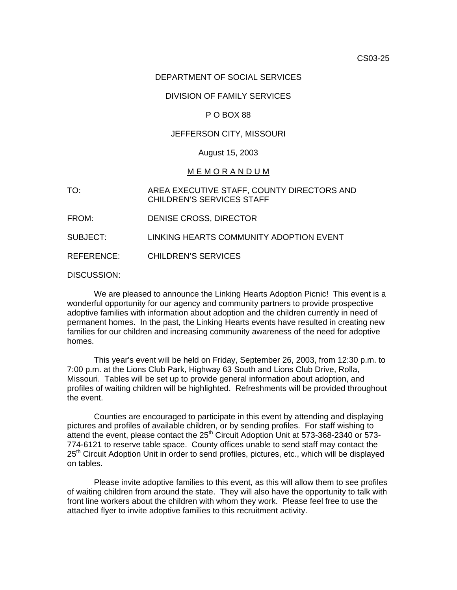#### DEPARTMENT OF SOCIAL SERVICES

# DIVISION OF FAMILY SERVICES

# P O BOX 88

# JEFFERSON CITY, MISSOURI

#### August 15, 2003

#### M E M O R A N D U M

TO: AREA EXECUTIVE STAFF, COUNTY DIRECTORS AND CHILDREN'S SERVICES STAFF

FROM: DENISE CROSS, DIRECTOR

SUBJECT: LINKING HEARTS COMMUNITY ADOPTION EVENT

REFERENCE: CHILDREN'S SERVICES

DISCUSSION:

 We are pleased to announce the Linking Hearts Adoption Picnic! This event is a wonderful opportunity for our agency and community partners to provide prospective adoptive families with information about adoption and the children currently in need of permanent homes. In the past, the Linking Hearts events have resulted in creating new families for our children and increasing community awareness of the need for adoptive homes.

 This year's event will be held on Friday, September 26, 2003, from 12:30 p.m. to 7:00 p.m. at the Lions Club Park, Highway 63 South and Lions Club Drive, Rolla, Missouri. Tables will be set up to provide general information about adoption, and profiles of waiting children will be highlighted. Refreshments will be provided throughout the event.

 Counties are encouraged to participate in this event by attending and displaying pictures and profiles of available children, or by sending profiles. For staff wishing to attend the event, please contact the  $25<sup>th</sup>$  Circuit Adoption Unit at 573-368-2340 or 573-774-6121 to reserve table space. County offices unable to send staff may contact the 25<sup>th</sup> Circuit Adoption Unit in order to send profiles, pictures, etc., which will be displayed on tables.

 Please invite adoptive families to this event, as this will allow them to see profiles of waiting children from around the state. They will also have the opportunity to talk with front line workers about the children with whom they work. Please feel free to use the attached flyer to invite adoptive families to this recruitment activity.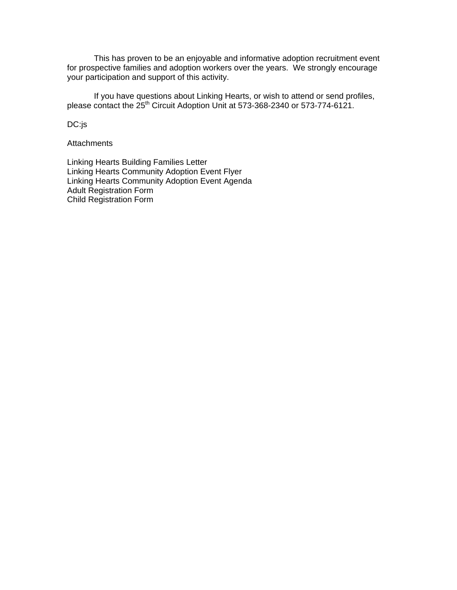This has proven to be an enjoyable and informative adoption recruitment event for prospective families and adoption workers over the years. We strongly encourage your participation and support of this activity.

 If you have questions about Linking Hearts, or wish to attend or send profiles, please contact the 25<sup>th</sup> Circuit Adoption Unit at 573-368-2340 or 573-774-6121.

DC:js

**Attachments** 

[Linking Hearts Building Families Letter](#page-2-0) [Linking Hearts Community Adoption Event Flyer](#page-3-0) [Linking Hearts Community Adoption Event Agenda](http://dss.missouri.gov/cd/info/memos/2003/cs25/agenda.pdf) [Adult Registration Form](http://dss.missouri.gov/cd/info/memos/2003/cs25/adultregistration.pdf) [Child Registration Form](http://dss.missouri.gov/cd/info/memos/2003/cs25/childregistration.pdf)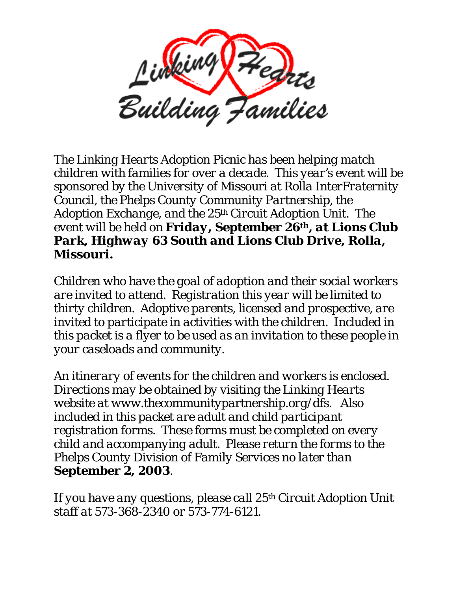<span id="page-2-0"></span>

*The Linking Hearts Adoption Picnic has been helping match children with families for over a decade. This year's event will be sponsored by the University of Missouri at Rolla InterFraternity Council, the Phelps County Community Partnership, the Adoption Exchange, and the 25th Circuit Adoption Unit. The event will be held on Friday, September 26th, at Lions Club Park, Highway 63 South and Lions Club Drive, Rolla, Missouri.* 

*Children who have the goal of adoption and their social workers are invited to attend. Registration this year will be limited to thirty children. Adoptive parents, licensed and prospective, are invited to participate in activities with the children. Included in this packet is a flyer to be used as an invitation to these people in your caseloads and community.* 

*An itinerary of events for the children and workers is enclosed. Directions may be obtained by visiting the Linking Hearts website at [www.thecommunitypartnership.org/dfs](http://www.thecommunitypartnership.org/dfs). Also included in this packet are adult and child participant registration forms. These forms must be completed on every child and accompanying adult. Please return the forms to the Phelps County Division of Family Services no later than September 2, 2003.* 

*If you have any questions, please call 25th Circuit Adoption Unit staff at 573-368-2340 or 573-774-6121.*